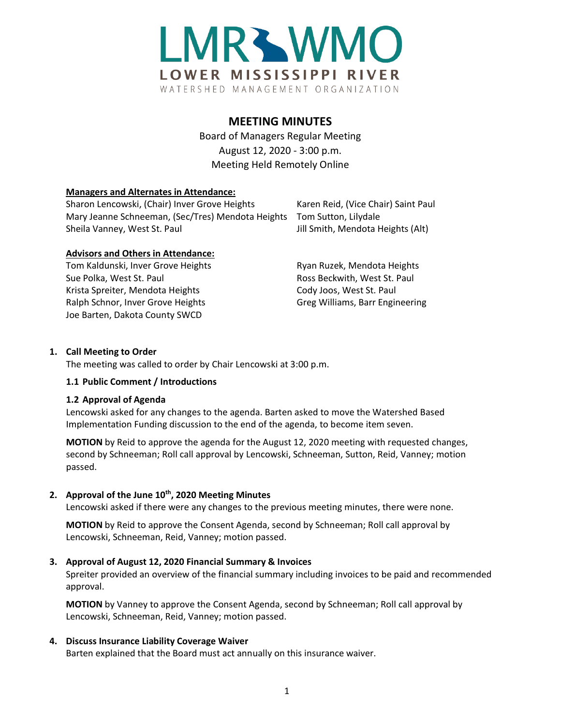

# **MEETING MINUTES**

Board of Managers Regular Meeting August 12, 2020 - 3:00 p.m. Meeting Held Remotely Online

### **Managers and Alternates in Attendance:**

| Sharon Lencowski, (Chair) Inver Grove Heights                           | Karen Reid, (Vice Chair) Saint Paul |
|-------------------------------------------------------------------------|-------------------------------------|
| Mary Jeanne Schneeman, (Sec/Tres) Mendota Heights  Tom Sutton, Lilydale |                                     |
| Sheila Vanney, West St. Paul                                            | Jill Smith, Mendota Heights (Alt)   |

# **Advisors and Others in Attendance:**

Tom Kaldunski, Inver Grove Heights **Ryan Ruzek, Mendota Heights** Ryan Ruzek, Mendota Heights Sue Polka, West St. Paul **Ross Beckwith, West St. Paul** Ross Beckwith, West St. Paul Krista Spreiter, Mendota Heights Cody Joos, West St. Paul Ralph Schnor, Inver Grove Heights Greg Williams, Barr Engineering Joe Barten, Dakota County SWCD

# **1. Call Meeting to Order**

The meeting was called to order by Chair Lencowski at 3:00 p.m.

#### **1.1 Public Comment / Introductions**

#### **1.2 Approval of Agenda**

Lencowski asked for any changes to the agenda. Barten asked to move the Watershed Based Implementation Funding discussion to the end of the agenda, to become item seven.

**MOTION** by Reid to approve the agenda for the August 12, 2020 meeting with requested changes, second by Schneeman; Roll call approval by Lencowski, Schneeman, Sutton, Reid, Vanney; motion passed.

# **2. Approval of the June 10th, 2020 Meeting Minutes**

Lencowski asked if there were any changes to the previous meeting minutes, there were none.

**MOTION** by Reid to approve the Consent Agenda, second by Schneeman; Roll call approval by Lencowski, Schneeman, Reid, Vanney; motion passed.

# **3. Approval of August 12, 2020 Financial Summary & Invoices**

Spreiter provided an overview of the financial summary including invoices to be paid and recommended approval.

**MOTION** by Vanney to approve the Consent Agenda, second by Schneeman; Roll call approval by Lencowski, Schneeman, Reid, Vanney; motion passed.

# **4. Discuss Insurance Liability Coverage Waiver**

Barten explained that the Board must act annually on this insurance waiver.